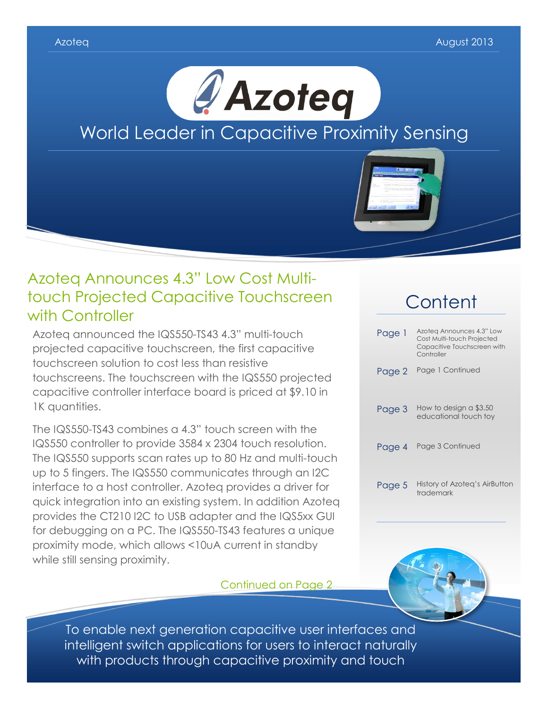

# Azoteq Announces 4.3" Low Cost Multitouch Projected Capacitive Touchscreen with Controller

Azoteq announced the IQS550-TS43 4.3" multi-touch projected capacitive touchscreen, the first capacitive touchscreen solution to cost less than resistive touchscreens. The touchscreen with the IQS550 projected capacitive controller interface board is priced at \$9.10 in 1K quantities.

The IQS550-TS43 combines a 4.3" touch screen with the IQS550 controller to provide 3584 x 2304 touch resolution. The IQS550 supports scan rates up to 80 Hz and multi-touch up to 5 fingers. The IQS550 communicates through an I2C interface to a host controller. Azoteq provides a driver for quick integration into an existing system. In addition Azoteq provides the CT210 I2C to USB adapter and the IQS5xx GUI for debugging on a PC. The IQS550-TS43 features a unique proximity mode, which allows <10uA current in standby while still sensing proximity.

### Continued on Page 2

# **Content** Page 1 Azoteq Announces 4.3" Low<br>Cost Multi-touch Projected

|        | COM INIUII-IUUUI I IUIGUIGU<br>Capacitive Touchscreen with<br>Controller |
|--------|--------------------------------------------------------------------------|
| Page 2 | Page 1 Continued                                                         |
| Page 3 | How to design a \$3.50<br>educational touch toy                          |
| Page 4 | Page 3 Continued                                                         |
| Page 5 | History of Azoteg's AirButton<br>trademark                               |



To enable next generation capacitive user interfaces and intelligent switch applications for users to interact naturally with products through capacitive proximity and touch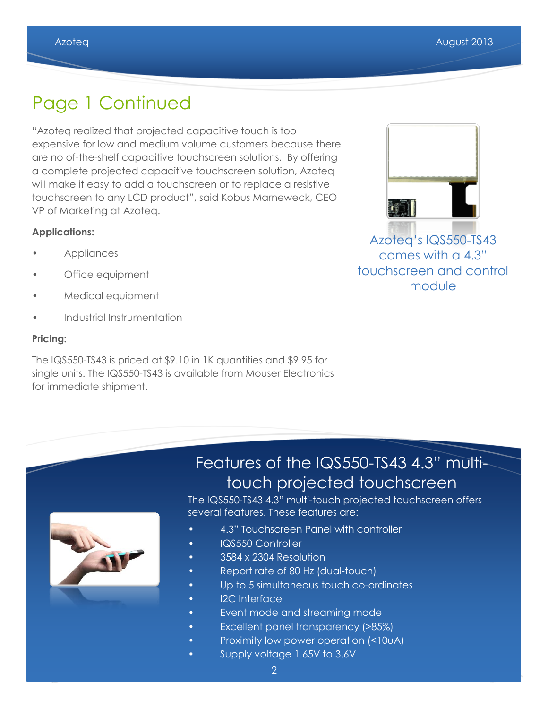# Page 1 Continued

"Azoteq realized that projected capacitive touch is too expensive for low and medium volume customers because there are no of-the-shelf capacitive touchscreen solutions. By offering a complete projected capacitive touchscreen solution, Azoteq will make it easy to add a touchscreen or to replace a resistive touchscreen to any LCD product", said Kobus Marneweck, CEO VP of Marketing at Azoteq.

#### **Applications:**

- Appliances
- Office equipment
- Medical equipment
- Industrial Instrumentation

#### **Pricing:**

The IQS550-TS43 is priced at \$9.10 in 1K quantities and \$9.95 for single units. The IQS550-TS43 is available from Mouser Electronics for immediate shipment.



Azoteq's IQS550-TS43 comes with a 4.3" touchscreen and control module

# Features of the IQS550-TS43 4.3" multitouch projected touchscreen



The IQS550-TS43 4.3" multi-touch projected touchscreen offers several features. These features are:

- 4.3" Touchscreen Panel with controller
- IQS550 Controller
- 3584 x 2304 Resolution
- Report rate of 80 Hz (dual-touch)
- Up to 5 simultaneous touch co-ordinates
- I2C Interface
- Event mode and streaming mode
- Excellent panel transparency (>85%)
- Proximity low power operation (<10uA)
- Supply voltage 1.65V to 3.6V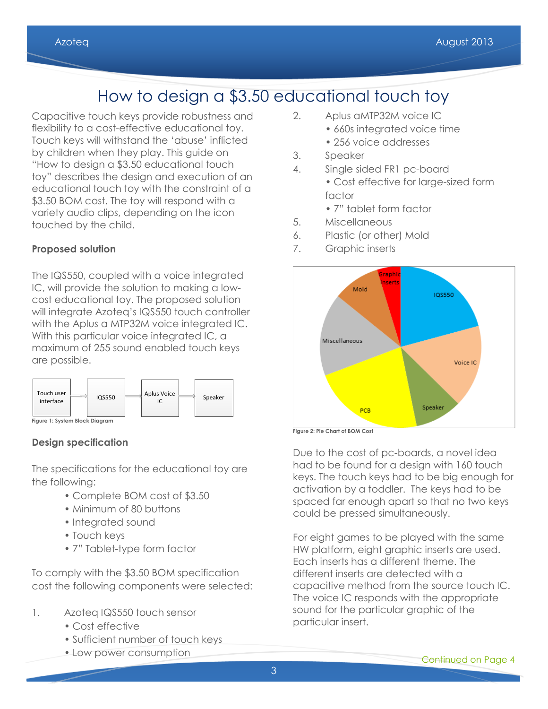# How to design a \$3.50 educational touch toy

Capacitive touch keys provide robustness and flexibility to a cost-effective educational toy. Touch keys will withstand the 'abuse' inflicted by children when they play. This guide on "How to design a \$3.50 educational touch toy" describes the design and execution of an educational touch toy with the constraint of a \$3.50 BOM cost. The toy will respond with a variety audio clips, depending on the icon touched by the child.

### **Proposed solution**

The IQS550, coupled with a voice integrated IC, will provide the solution to making a lowcost educational toy. The proposed solution will integrate Azoteq's IQS550 touch controller with the Aplus a MTP32M voice integrated IC. With this particular voice integrated IC, a maximum of 255 sound enabled touch keys are possible.



**Figure 1: System Block Diagram**

### **Design specification**

The specifications for the educational toy are the following:

- Complete BOM cost of \$3.50
- Minimum of 80 buttons
- Integrated sound
- Touch keys
- 7" Tablet-type form factor

To comply with the \$3.50 BOM specification cost the following components were selected:

- 1. Azoteq IQS550 touch sensor
	- Cost effective
	- Sufficient number of touch keys
	- Low power consumption
- 2. Aplus aMTP32M voice IC
	- 660s integrated voice time
	- 256 voice addresses
- 3. Speaker
- 4. Single sided FR1 pc-board • Cost effective for large-sized form factor
	- 7" tablet form factor
- 5. Miscellaneous
- 6. Plastic (or other) Mold
- 7. Graphic inserts



**Figure 2: Pie Chart of BOM Cost**

Due to the cost of pc-boards, a novel idea had to be found for a design with 160 touch keys. The touch keys had to be big enough for activation by a toddler. The keys had to be spaced far enough apart so that no two keys could be pressed simultaneously.

For eight games to be played with the same HW platform, eight graphic inserts are used. Each inserts has a different theme. The different inserts are detected with a capacitive method from the source touch IC. The voice IC responds with the appropriate sound for the particular graphic of the particular insert.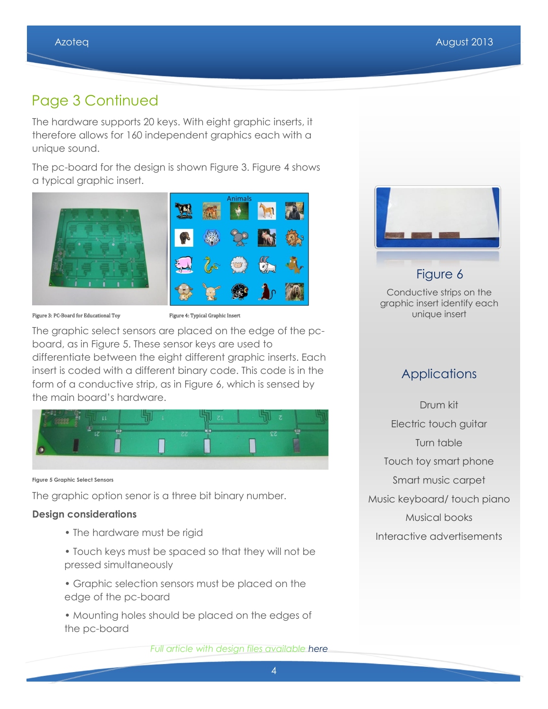# Page 3 Continued

The hardware supports 20 keys. With eight graphic inserts, it therefore allows for 160 independent graphics each with a unique sound.

The pc-board for the design is shown Figure 3. Figure 4 shows a typical graphic insert.



Figure 3: PC-Board for Educational Toy Figure 4: Typical Graphic Insert

The graphic select sensors are placed on the edge of the pcboard, as in Figure 5. These sensor keys are used to differentiate between the eight different graphic inserts. Each insert is coded with a different binary code. This code is in the form of a conductive strip, as in Figure 6, which is sensed by the main board's hardware.



**Figure 5 Graphic Select Sensors**

The graphic option senor is a three bit binary number.

### **Design considerations**

- The hardware must be rigid
- Touch keys must be spaced so that they will not be pressed simultaneously
- Graphic selection sensors must be placed on the edge of the pc-board
- Mounting holes should be placed on the edges of the pc-board



### Figure 6 Conductive strips on the graphic insert identify each

# unique insert

### **Applications**

Drum kit Electric touch guitar Turn table Touch toy smart phone Smart music carpet Music keyboard/ touch piano Musical books Interactive advertisements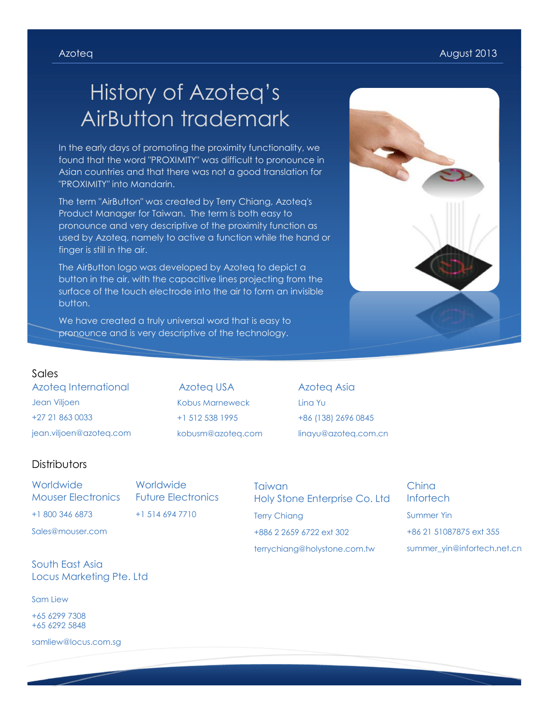# History of Azoteq's AirButton trademark

In the early days of promoting the proximity functionality, we found that the word "PROXIMITY" was difficult to pronounce in Asian countries and that there was not a good translation for "PROXIMITY" into Mandarin.

The term "AirButton" was created by Terry Chiang, Azoteq's Product Manager for Taiwan. The term is both easy to pronounce and very descriptive of the proximity function as used by Azoteq, namely to active a function while the hand or finger is still in the air.

The AirButton logo was developed by Azoteq to depict a button in the air, with the capacitive lines projecting from the surface of the touch electrode into the air to form an invisible button.

We have created a truly universal word that is easy to pronounce and is very descriptive of the technology.



#### Sales

Azoteq International Jean Viljoen +27 21 863 0033 jean.viljoen@azoteq.com

Azoteq USA Kobus Marneweck +1 512 538 1995 kobusm@azoteq.com Azoteq Asia Lina Yu +86 (138) 2696 0845 linayu@azoteq.com.cn

#### **Distributors**

**Worldwide** Mouser Electronics +1 800 346 6873

**Worldwide** Future Electronics +1 514 694 7710

Sales@mouser.com

South East Asia Locus Marketing Pte. Ltd

Sam Liew

+65 6299 7308 +65 6292 5848

samliew@locus.com.sg

## **Taiwan** Holy Stone Enterprise Co. Ltd Terry Chiang +886 2 2659 6722 ext 302 terrychiang@holystone.com.tw

China **Infortech** Summer Yin +86 21 51087875 ext 355 summer\_yin@infortech.net.cn